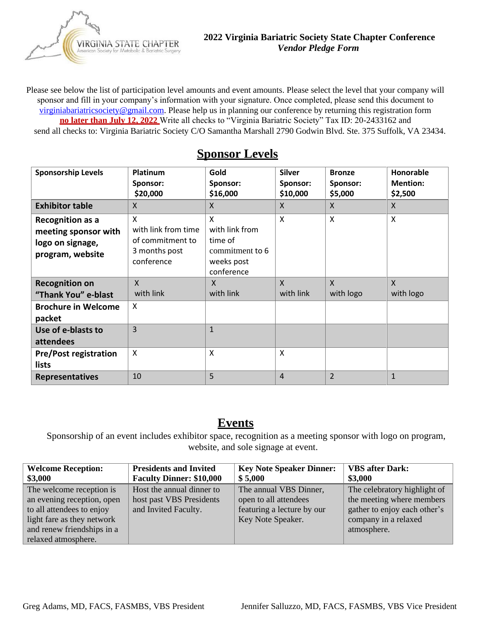VIRGINIA STATE CHAPTER for Metabolic & Bariatric Surgery

Please see below the list of participation level amounts and event amounts. Please select the level that your company will sponsor and fill in your company's information with your signature. Once completed, please send this document to virginiabariatricsociet[y@gmail.com. Pleas](mailto:Rachel.wilson@vcuhealth.org)e help us in planning our conference by returning this registration form **no later than July 12, 2022** Write all checks to "Virginia Bariatric Society" Tax ID: 20-2433162 and send all checks to: Virginia Bariatric Society C/O Samantha Marshall 2790 Godwin Blvd. Ste. 375 Suffolk, VA 23434.

| <b>Sponsorship Levels</b>                                                               | <b>Platinum</b><br>Sponsor:<br>\$20,000                                     | Gold<br>Sponsor:<br>\$16,000                                                  | <b>Silver</b><br>Sponsor:<br>\$10,000 | <b>Bronze</b><br>Sponsor:<br>\$5,000 | Honorable<br><b>Mention:</b><br>\$2,500 |
|-----------------------------------------------------------------------------------------|-----------------------------------------------------------------------------|-------------------------------------------------------------------------------|---------------------------------------|--------------------------------------|-----------------------------------------|
| <b>Exhibitor table</b>                                                                  | $\mathsf{X}$                                                                | X                                                                             | $\mathsf{X}$                          | $\mathsf{X}$                         | $\mathsf{X}$                            |
| <b>Recognition as a</b><br>meeting sponsor with<br>logo on signage,<br>program, website | X<br>with link from time<br>of commitment to<br>3 months post<br>conference | X<br>with link from<br>time of<br>commitment to 6<br>weeks post<br>conference | $\boldsymbol{\mathsf{x}}$             | $\boldsymbol{\mathsf{X}}$            | $\boldsymbol{\mathsf{X}}$               |
| <b>Recognition on</b>                                                                   | $\mathsf{X}$                                                                | $\mathsf{X}$                                                                  | $\mathsf{x}$                          | $\mathsf{X}$                         | $\mathsf{X}$                            |
| "Thank You" e-blast                                                                     | with link                                                                   | with link                                                                     | with link                             | with logo                            | with logo                               |
| <b>Brochure in Welcome</b><br>packet                                                    | $\times$                                                                    |                                                                               |                                       |                                      |                                         |
| Use of e-blasts to<br>attendees                                                         | $\overline{3}$                                                              | $\mathbf{1}$                                                                  |                                       |                                      |                                         |
| <b>Pre/Post registration</b><br>lists                                                   | $\boldsymbol{\mathsf{X}}$                                                   | X                                                                             | $\times$                              |                                      |                                         |
| <b>Representatives</b>                                                                  | 10                                                                          | 5                                                                             | $\overline{4}$                        | $\overline{2}$                       | $\mathbf{1}$                            |

## **Sponsor Levels**

## **Events**

Sponsorship of an event includes exhibitor space, recognition as a meeting sponsor with logo on program, website, and sole signage at event.

| <b>Welcome Reception:</b>                                                                                                                                              | <b>Presidents and Invited</b>                                                 | <b>Key Note Speaker Dinner:</b>                                                                    | <b>VBS</b> after Dark:                                                                                                           |
|------------------------------------------------------------------------------------------------------------------------------------------------------------------------|-------------------------------------------------------------------------------|----------------------------------------------------------------------------------------------------|----------------------------------------------------------------------------------------------------------------------------------|
| \$3,000                                                                                                                                                                | <b>Faculty Dinner: \$10,000</b>                                               | \$5,000                                                                                            | \$3,000                                                                                                                          |
| The welcome reception is<br>an evening reception, open<br>to all attendees to enjoy<br>light fare as they network<br>and renew friendships in a<br>relaxed atmosphere. | Host the annual dinner to<br>host past VBS Presidents<br>and Invited Faculty. | The annual VBS Dinner,<br>open to all attendees<br>featuring a lecture by our<br>Key Note Speaker. | The celebratory highlight of<br>the meeting where members<br>gather to enjoy each other's<br>company in a relaxed<br>atmosphere. |